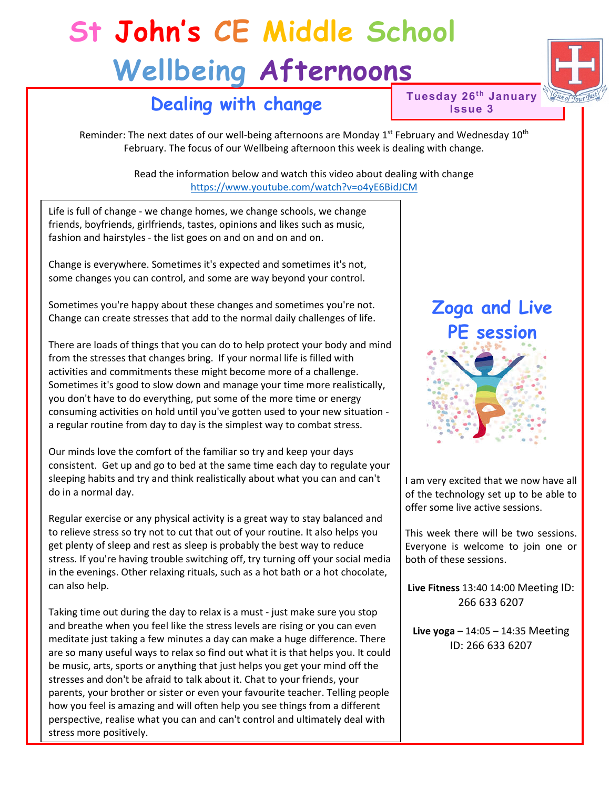## **St John's CE Middle School Wellbeing Afternoons**



**Tuesday 26<sup>th</sup> January Issue 3**

Reminder: The next dates of our well-being afternoons are Monday  $1<sup>st</sup>$  February and Wednesday  $10<sup>th</sup>$ February. The focus of our Wellbeing afternoon this week is dealing with change.

> Read the information below and watch this video about dealing with change <https://www.youtube.com/watch?v=o4yE6BidJCM>

Life is full of change - we change homes, we change schools, we change friends, boyfriends, girlfriends, tastes, opinions and likes such as music, fashion and hairstyles - the list goes on and on and on and on.

Change is everywhere. Sometimes it's expected and sometimes it's not, some changes you can control, and some are way beyond your control.

Sometimes you're happy about these changes and sometimes you're not. Change can create stresses that add to the normal daily challenges of life.

There are loads of things that you can do to help protect your body and mind from the stresses that changes bring. If your normal life is filled with activities and commitments these might become more of a challenge. Sometimes it's good to slow down and manage your time more realistically, you don't have to do everything, put some of the more time or energy consuming activities on hold until you've gotten used to your new situation a regular routine from day to day is the simplest way to combat stress.

Our minds love the comfort of the familiar so try and keep your days consistent. Get up and go to bed at the same time each day to regulate your sleeping habits and try and think realistically about what you can and can't do in a normal day.

Regular exercise or any physical activity is a great way to stay balanced and to relieve stress so try not to cut that out of your routine. It also helps you get plenty of sleep and rest as sleep is probably the best way to reduce stress. If you're having trouble switching off, try turning off your social media in the evenings. Other relaxing rituals, such as a hot bath or a hot chocolate, can also help.

Taking time out during the day to relax is a must - just make sure you stop and breathe when you feel like the stress levels are rising or you can even meditate just taking a few minutes a day can make a huge difference. There are so many useful ways to relax so find out what it is that helps you. It could be music, arts, sports or anything that just helps you get your mind off the stresses and don't be afraid to talk about it. Chat to your friends, your parents, your brother or sister or even your favourite teacher. Telling people how you feel is amazing and will often help you see things from a different perspective, realise what you can and can't control and ultimately deal with stress more positively.

# **Zoga and Live PE session**

I am very excited that we now have all of the technology set up to be able to offer some live active sessions.

This week there will be two sessions. Everyone is welcome to join one or both of these sessions.

**Live Fitness** 13:40 14:00 Meeting ID: 266 633 6207

**Live yoga** – 14:05 – 14:35 Meeting ID: 266 633 6207

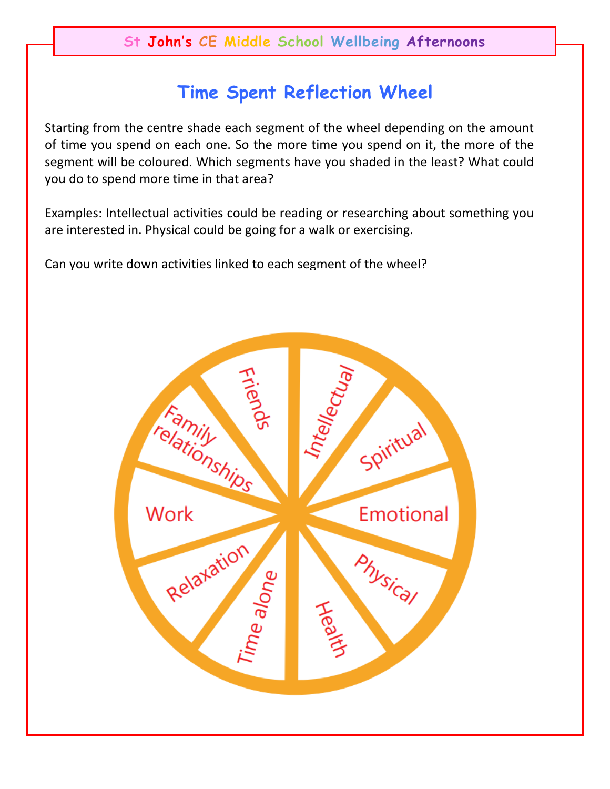## **Time Spent Reflection Wheel**

Starting from the centre shade each segment of the wheel depending on the amount of time you spend on each one. So the more time you spend on it, the more of the segment will be coloured. Which segments have you shaded in the least? What could you do to spend more time in that area?

Examples: Intellectual activities could be reading or researching about something you are interested in. Physical could be going for a walk or exercising.

Can you write down activities linked to each segment of the wheel?

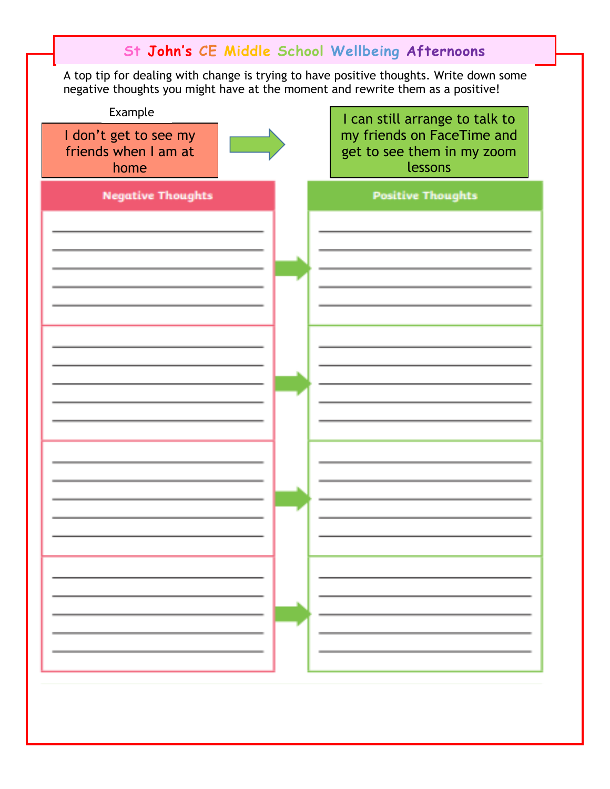|                                                                                                                                                                          |  | St John's CE Middle School Wellbeing Afternoons                     |
|--------------------------------------------------------------------------------------------------------------------------------------------------------------------------|--|---------------------------------------------------------------------|
| A top tip for dealing with change is trying to have positive thoughts. Write down some<br>negative thoughts you might have at the moment and rewrite them as a positive! |  |                                                                     |
| Example                                                                                                                                                                  |  | I can still arrange to talk to                                      |
| I don't get to see my<br>friends when I am at<br>home                                                                                                                    |  | my friends on FaceTime and<br>get to see them in my zoom<br>lessons |
| <b>Negative Thoughts</b>                                                                                                                                                 |  | <b>Positive Thoughts</b>                                            |
|                                                                                                                                                                          |  |                                                                     |
|                                                                                                                                                                          |  |                                                                     |
|                                                                                                                                                                          |  |                                                                     |
|                                                                                                                                                                          |  |                                                                     |
|                                                                                                                                                                          |  |                                                                     |
|                                                                                                                                                                          |  |                                                                     |
|                                                                                                                                                                          |  |                                                                     |
|                                                                                                                                                                          |  |                                                                     |
|                                                                                                                                                                          |  |                                                                     |
|                                                                                                                                                                          |  |                                                                     |
|                                                                                                                                                                          |  |                                                                     |
|                                                                                                                                                                          |  |                                                                     |
|                                                                                                                                                                          |  |                                                                     |
|                                                                                                                                                                          |  |                                                                     |
|                                                                                                                                                                          |  |                                                                     |
|                                                                                                                                                                          |  |                                                                     |
|                                                                                                                                                                          |  |                                                                     |
|                                                                                                                                                                          |  |                                                                     |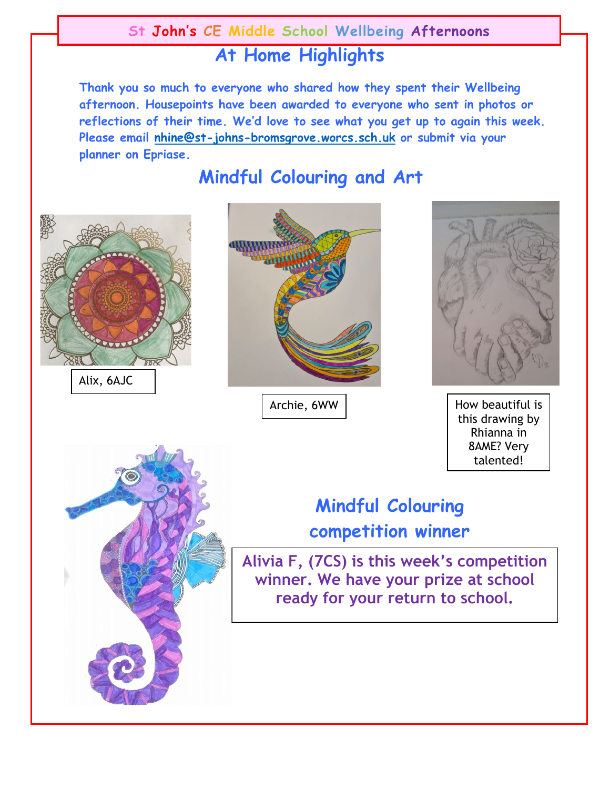### **St John's CE Middle School Wellbeing Afternoons**

## **At Home Highlights**

**Thank you so much to everyone who shared how they spent their Wellbeing afternoon. Housepoints have been awarded to everyone who sent in photos or reflections of their time. We'd love to see what you get up to again this week. Please email [nhine@st-johns-bromsgrove.worcs.sch.uk](mailto:nhine@st-johns-bromsgrove.worcs.sch.uk) or submit via your planner on Epriase.**

**Mindful Colouring and Art** 



Alix, 6AJC



Archie, 6WW



How beautiful is this drawing by Rhianna in 8AME? Very talented!



## **Mindful Colouring competition winner**

**Alivia F, (7CS) is this week's competition winner. We have your prize at school ready for your return to school.**